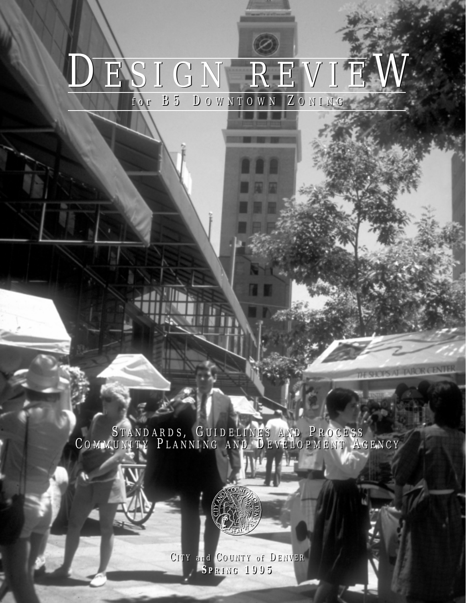# DESIGN REVIEW *for* B5 D OWNTOWN Z ONING *for* B5 D OWNTOWN Z ONING

S TANDARDS , G UIDELINES AND P ROCESS C OMMUNITY P LANNING AND D EVELOPMENT A GENCY S TANDARDS , G UIDELINES AND P ROCESS C OMMUNITY P LANNING AND D EVELOPMENT A GENCY

THE SHOPS AT TAROR CENTER

llh

C ITY *and* C OUNTY *o f* D ENVER C ITY *and* C OUNTY *o f* D ENVER **S PRING 1995 S PRING 1995**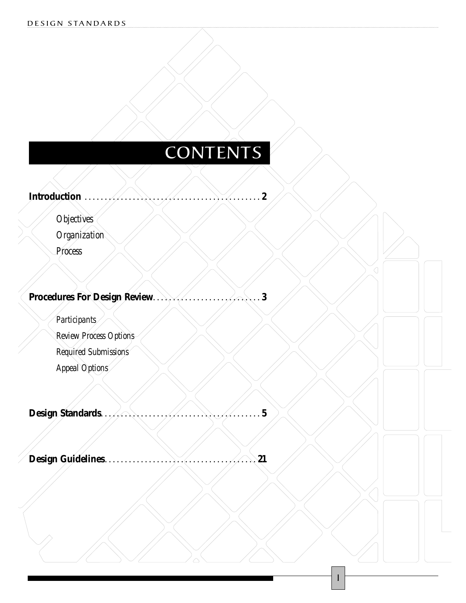## **CONTENTS**

**COLFAX** 

1

**Introduction . . . . . . . . . . . . . . . . . . . . . . . . . . . . . . . . . . . . . . . . . . . . 2**

*Objectives*

*Organization*

*Process*

## **Procedures For Design Review. . . . . . . . . . . . . . . . . . . . . . . . . . . 3**

*Participants*

*Review Process Options*

*Required Submissions*

*Appeal Options*

**Design Standards. . . . . . . . . . . . . . . . . . . . . . . . . . . . . . . . . . . . . . . . 5**

**Design Guidelines. . . . . . . . . . . . . . . . . . . . . . . . . . . . . . . . . . . . . . 21**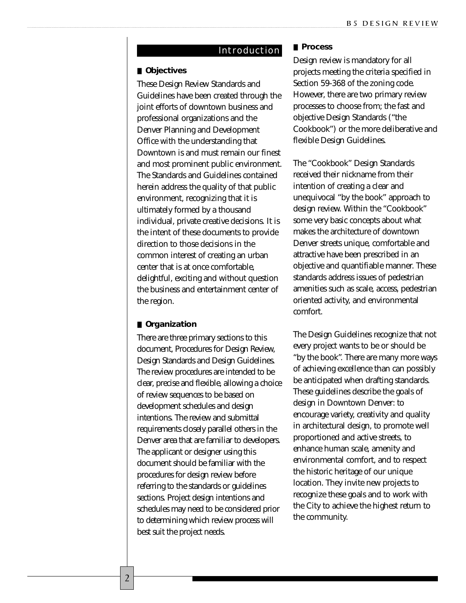#### Introduction

#### ■ **Objectives**

These Design Review Standards and Guidelines have been created through the joint efforts of downtown business and professional organizations and the Denver Planning and Development Office with the understanding that Downtown is and must remain our finest and most prominent public environment. The Standards and Guidelines contained herein address the quality of that public environment, recognizing that it is ultimately formed by a thousand individual, private creative decisions. It is the intent of these documents to provide direction to those decisions in the common interest of creating an urban center that is at once comfortable, delightful, exciting and without question the business and entertainment center of the region.

#### ■ **Organization**

There are three primary sections to this document, Procedures for Design Review, Design Standards and Design Guidelines. The review procedures are intended to be clear, precise and flexible, allowing a choice of review sequences to be based on development schedules and design intentions. The review and submittal requirements closely parallel others in the Denver area that are familiar to developers. The applicant or designer using this document should be familiar with the procedures for design review before referring to the standards or guidelines sections. Project design intentions and schedules may need to be considered prior to determining which review process will best suit the project needs.

#### ■ **Process**

Design review is mandatory for all projects meeting the criteria specified in Section 59-368 of the zoning code. However, there are two primary review processes to choose from; the fast and objective Design Standards ("the Cookbook") or the more deliberative and flexible Design Guidelines.

The "Cookbook" Design Standards received their nickname from their intention of creating a clear and unequivocal "by the book" approach to design review. Within the "Cookbook" some very basic concepts about what makes the architecture of downtown Denver streets unique, comfortable and attractive have been prescribed in an objective and quantifiable manner. These standards address issues of pedestrian amenities such as scale, access, pedestrian oriented activity, and environmental comfort.

The Design Guidelines recognize that not every project wants to be or should be "by the book". There are many more ways of achieving excellence than can possibly be anticipated when drafting standards. These guidelines describe the goals of design in Downtown Denver: to encourage variety, creativity and quality in architectural design, to promote well proportioned and active streets, to enhance human scale, amenity and environmental comfort, and to respect the historic heritage of our unique location. They invite new projects to recognize these goals and to work with the City to achieve the highest return to the community.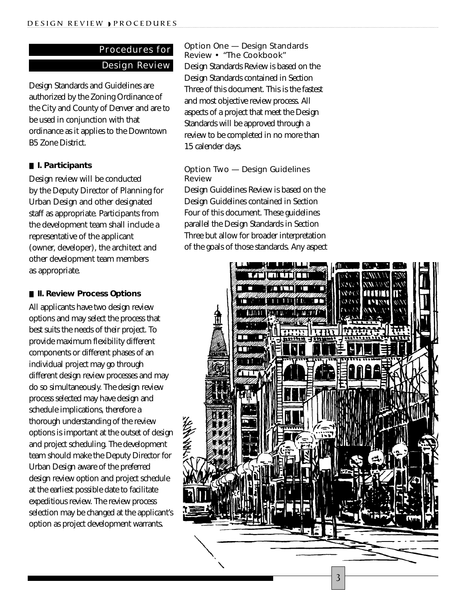## Procedures for Design Review

Design Standards and Guidelines are authorized by the Zoning Ordinance of the City and County of Denver and are to be used in conjunction with that ordinance as it applies to the Downtown B5 Zone District.

#### ■ **I. Participants**

Design review will be conducted by the Deputy Director of Planning for Urban Design and other designated staff as appropriate. Participants from the development team shall include a representative of the applicant (owner, developer), the architect and other development team members as appropriate.

#### ■ **II. Review Process Options**

All applicants have two design review options and may select the process that best suits the needs of their project. To provide maximum flexibility different components or different phases of an individual project may go through different design review processes and may do so simultaneously. The design review process selected may have design and schedule implications, therefore a thorough understanding of the review options is important at the outset of design and project scheduling. The development team should make the Deputy Director for Urban Design aware of the preferred design review option and project schedule at the earliest possible date to facilitate expeditious review. The review process selection may be changed at the applicant's option as project development warrants.

*Option One — Design Standards Review • "The Cookbook"* Design Standards Review is based on the Design Standards contained in Section Three of this document. This is the fastest and most objective review process. All aspects of a project that meet the Design Standards will be approved through a review to be completed in no more than 15 calender days.

#### *Option Two — Design Guidelines Review*

Design Guidelines Review is based on the Design Guidelines contained in Section Four of this document. These guidelines parallel the Design Standards in Section Three but allow for broader interpretation of the goals of those standards. Any aspect

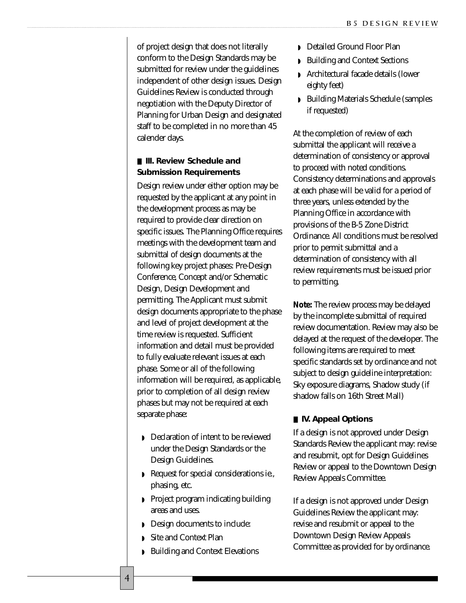of project design that does not literally conform to the Design Standards may be submitted for review under the guidelines independent of other design issues. Design Guidelines Review is conducted through negotiation with the Deputy Director of Planning for Urban Design and designated staff to be completed in no more than 45 calender days.

#### ■ **III. Review Schedule and Submission Requirements**

Design review under either option may be requested by the applicant at any point in the development process as may be required to provide clear direction on specific issues. The Planning Office requires meetings with the development team and submittal of design documents at the following key project phases: Pre-Design Conference, Concept and/or Schematic Design, Design Development and permitting. The Applicant must submit design documents appropriate to the phase and level of project development at the time review is requested. Sufficient information and detail must be provided to fully evaluate relevant issues at each phase. Some or all of the following information will be required, as applicable, prior to completion of all design review phases but may not be required at each separate phase:

- ◗ Declaration of intent to be reviewed under the Design Standards or the Design Guidelines.
- ◗ Request for special considerations ie., phasing, etc.
- ◗ Project program indicating building areas and uses.
- ◗ Design documents to include:
- ◗ Site and Context Plan

4

◗ Building and Context Elevations

- ◗ Detailed Ground Floor Plan
- ◗ Building and Context Sections
- ◗ Architectural facade details (lower eighty feet)
- ◗ Building Materials Schedule (samples if requested)

At the completion of review of each submittal the applicant will receive a determination of consistency or approval to proceed with noted conditions. Consistency determinations and approvals at each phase will be valid for a period of three years, unless extended by the Planning Office in accordance with provisions of the B-5 Zone District Ordinance. All conditions must be resolved prior to permit submittal and a determination of consistency with all review requirements must be issued prior to permitting.

**Note:** The review process may be delayed by the incomplete submittal of required review documentation. Review may also be delayed at the request of the developer. The following items are required to meet specific standards set by ordinance and not subject to design guideline interpretation: Sky exposure diagrams, Shadow study (if shadow falls on 16th Street Mall)

#### ■ **IV. Appeal Options**

If a design is not approved under Design Standards Review the applicant may: revise and resubmit, opt for Design Guidelines Review or appeal to the Downtown Design Review Appeals Committee.

If a design is not approved under Design Guidelines Review the applicant may: revise and resubmit or appeal to the Downtown Design Review Appeals Committee as provided for by ordinance.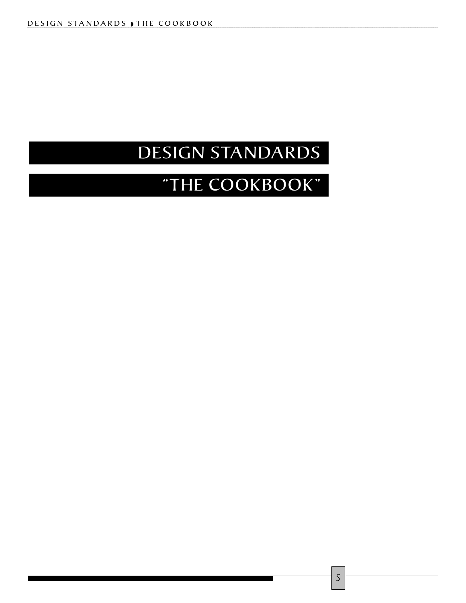## DESIGN STANDARDS

## "THE COOKBOOK"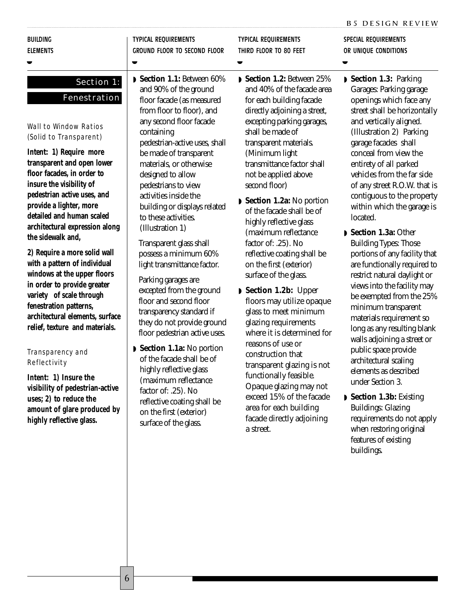SPECIAL REQUIREMENTS

BUILDING **ELEMENTS** 

#### ◗

## Section 1: **Fenestration**

#### Wall to Window Ratios (Solid to Transparent)

**Intent: 1) Require more transparent and open lower floor facades, in order to insure the visibility of pedestrian active uses, and provide a lighter, more detailed and human scaled architectural expression along the sidewalk and,** 

**2) Require a more solid wall with a pattern of individual windows at the upper floors in order to provide greater variety of scale through fenestration patterns, architectural elements, surface relief, texture and materials.**

#### Transparency and **Reflectivity**

**Intent: 1) Insure the visibility of pedestrian-active uses; 2) to reduce the amount of glare produced by highly reflective glass.**

◗ **Section 1.1:** Between 60% and 90% of the ground floor facade (as measured from floor to floor), and any second floor facade containing pedestrian-active uses, shall be made of transparent materials, or otherwise designed to allow pedestrians to view activities inside the building or displays related to these activities. (Illustration 1)

TYPICAL REQUIREMENTS

◗

GROUND FLOOR TO SECOND FLOOR

Transparent glass shall possess a minimum 60% light transmittance factor.

Parking garages are excepted from the ground floor and second floor transparency standard if they do not provide ground floor pedestrian active uses.

◗ **Section 1.1a:** No portion of the facade shall be of highly reflective glass (maximum reflectance factor of: .25). No reflective coating shall be on the first (exterior) surface of the glass.

TYPICAL REQUIREMENTS THIRD FLOOR TO 80 FEET

◗

- ◗ **Section 1.2:** Between 25% and 40% of the facade area for each building facade directly adjoining a street, excepting parking garages, shall be made of transparent materials. (Minimum light transmittance factor shall not be applied above second floor)
- ◗ **Section 1.2a:** No portion of the facade shall be of highly reflective glass (maximum reflectance factor of: .25). No reflective coating shall be on the first (exterior) surface of the glass.
- ◗ **Section 1.2b:** Upper floors may utilize opaque glass to meet minimum glazing requirements where it is determined for reasons of use or construction that transparent glazing is not functionally feasible. Opaque glazing may not exceed 15% of the facade area for each building facade directly adjoining a street.

◗ **Section 1.3:** Parking Garages: Parking garage openings which face any street shall be horizontally and vertically aligned. OR UNIQUE CONDITIONS

(Illustration 2) Parking garage facades shall conceal from view the entirety of all parked vehicles from the far side of any street R.O.W. that is contiguous to the property within which the garage is

- located. ◗ **Section 1.3a:** Other Building Types: Those portions of any facility that are functionally required to restrict natural daylight or views into the facility may be exempted from the 25% minimum transparent materials requirement so long as any resulting blank walls adjoining a street or public space provide architectural scaling elements as described under Section 3.
- ◗ **Section 1.3b:** Existing Buildings: Glazing requirements do not apply when restoring original features of existing buildings.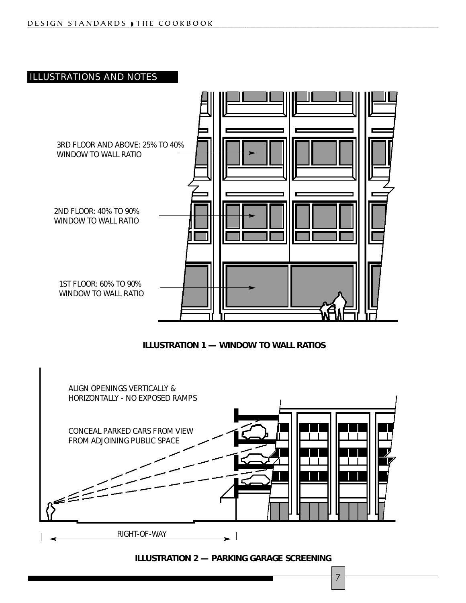

**ILLUSTRATION 1 — WINDOW TO WALL RATIOS**



**ILLUSTRATION 2 — PARKING GARAGE SCREENING**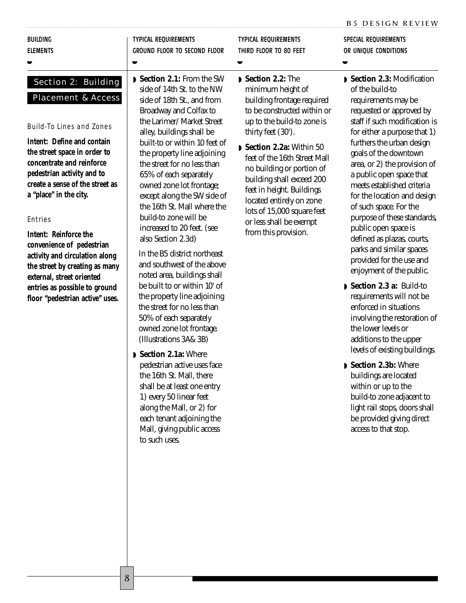|                 | $\blacksquare$ Saction 9 1. From the SW | <b>N</b> Soction 9.9. The   | $\blacksquare$ Saction 2.3. Modifica |
|-----------------|-----------------------------------------|-----------------------------|--------------------------------------|
| $\bullet$       | $\blacksquare$                          |                             |                                      |
| <b>ELEMENTS</b> | GROUND FLOOR TO SECOND FLOOR            | THIRD FLOOR TO 80 FEET      | OR UNIOUE CONDITIONS                 |
| <b>BUILDING</b> | TYPICAL REQUIREMENTS                    | <b>TYPICAL REOUIREMENTS</b> | SPECIAL REOUIREMENTS                 |
|                 |                                         |                             |                                      |

Section 2: Building Placement & Access

Build-To Lines and Zones

**Intent: Define and contain the street space in order to concentrate and reinforce pedestrian activity and to create a sense of the street as a "place" in the city.**

#### Entries

**Intent: Reinforce the convenience of pedestrian activity and circulation along the street by creating as many external, street oriented entries as possible to ground floor "pedestrian active" uses.** 

◗ **Section 2.1:** From the SW side of 14th St. to the NW side of 18th St., and from Broadway and Colfax to the Larimer/ Market Street alley, buildings shall be built-to or within 10 feet of the property line adjoining the street for no less than 65% of each separately owned zone lot frontage; except along the SW side of the 16th St. Mall where the build-to zone will be increased to 20 feet. (see also Section 2.3d)

In the B5 district northeast and southwest of the above noted area, buildings shall be built to or within 10' of the property line adjoining the street for no less than 50% of each separately owned zone lot frontage. (Illustrations 3A& 3B)

◗ **Section 2.1a:** Where pedestrian active uses face the 16th St. Mall, there shall be at least one entry 1) every 50 linear feet along the Mall, or 2) for each tenant adjoining the Mall, giving public access to such uses.

- ◗ **Section 2.2:** The minimum height of building frontage required to be constructed within or up to the build-to zone is thirty feet (30').
- ◗ **Section 2.2a:** Within 50 feet of the 16th Street Mall no building or portion of building shall exceed 200 feet in height. Buildings located entirely on zone lots of 15,000 square feet or less shall be exempt from this provision.

#### ◗ **Section 2.3:** Modification of the build-to requirements may be requested or approved by staff if such modification is for either a purpose that 1) furthers the urban design goals of the downtown area, or 2) the provision of a public open space that meets established criteria for the location and design of such space. For the purpose of these standards, public open space is defined as plazas, courts, parks and similar spaces provided for the use and enjoyment of the public.

- ◗ **Section 2.3 a:** Build-to requirements will not be enforced in situations involving the restoration of the lower levels or additions to the upper levels of existing buildings.
- ◗ **Section 2.3b:** Where buildings are located within or up to the build-to zone adjacent to light rail stops, doors shall be provided giving direct access to that stop.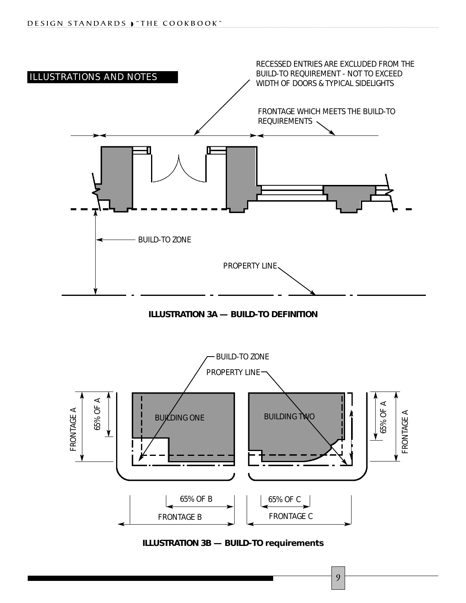





**ILLUSTRATION 3B — BUILD-TO requirements**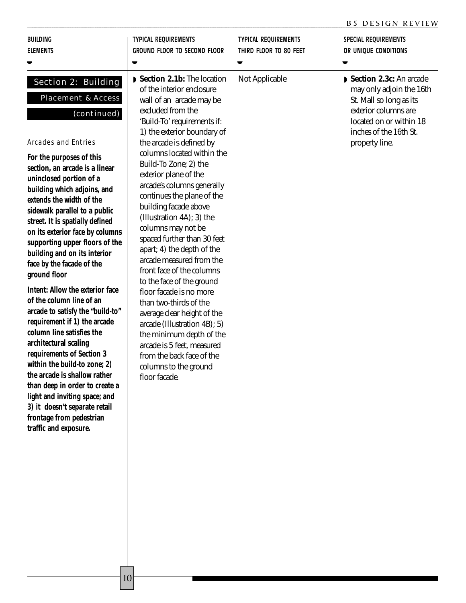|                                                                                                                                                                                                                                                                                                                                                                                                                                                                                                                                                                                                                                                                                                                                                                                                                                                                                                                                   |                                                                                                                                                                                                                                                                                                                                                                                                                                                                                                                                                                                                                                                                                                                                                                                                                                    |                                                       | <b>B5 DESIGN REVIEW</b>                                                                                                                                                       |
|-----------------------------------------------------------------------------------------------------------------------------------------------------------------------------------------------------------------------------------------------------------------------------------------------------------------------------------------------------------------------------------------------------------------------------------------------------------------------------------------------------------------------------------------------------------------------------------------------------------------------------------------------------------------------------------------------------------------------------------------------------------------------------------------------------------------------------------------------------------------------------------------------------------------------------------|------------------------------------------------------------------------------------------------------------------------------------------------------------------------------------------------------------------------------------------------------------------------------------------------------------------------------------------------------------------------------------------------------------------------------------------------------------------------------------------------------------------------------------------------------------------------------------------------------------------------------------------------------------------------------------------------------------------------------------------------------------------------------------------------------------------------------------|-------------------------------------------------------|-------------------------------------------------------------------------------------------------------------------------------------------------------------------------------|
| <b>BUILDING</b><br><b>ELEMENTS</b>                                                                                                                                                                                                                                                                                                                                                                                                                                                                                                                                                                                                                                                                                                                                                                                                                                                                                                | <b>TYPICAL REQUIREMENTS</b><br><b>GROUND FLOOR TO SECOND FLOOR</b>                                                                                                                                                                                                                                                                                                                                                                                                                                                                                                                                                                                                                                                                                                                                                                 | <b>TYPICAL REQUIREMENTS</b><br>THIRD FLOOR TO 80 FEET | SPECIAL REQUIREMENTS<br>OR UNIQUE CONDITIONS                                                                                                                                  |
| Section 2: Building<br><b>Placement &amp; Access</b><br>(continued)<br><b>Arcades and Entries</b><br>For the purposes of this<br>section, an arcade is a linear<br>uninclosed portion of a<br>building which adjoins, and<br>extends the width of the<br>sidewalk parallel to a public<br>street. It is spatially defined<br>on its exterior face by columns<br>supporting upper floors of the<br>building and on its interior<br>face by the facade of the<br>ground floor<br><b>Intent: Allow the exterior face</b><br>of the column line of an<br>arcade to satisfy the "build-to"<br>requirement if 1) the arcade<br>column line satisfies the<br>architectural scaling<br>requirements of Section 3<br>within the build-to zone; 2)<br>the arcade is shallow rather<br>than deep in order to create a<br>light and inviting space; and<br>3) it doesn't separate retail<br>frontage from pedestrian<br>traffic and exposure. | Section 2.1b: The location<br>of the interior enclosure<br>wall of an arcade may be<br>excluded from the<br>'Build-To' requirements if:<br>1) the exterior boundary of<br>the arcade is defined by<br>columns located within the<br>Build-To Zone; 2) the<br>exterior plane of the<br>arcade's columns generally<br>continues the plane of the<br>building facade above<br>(Illustration 4A); 3) the<br>columns may not be<br>spaced further than 30 feet<br>apart; 4) the depth of the<br>arcade measured from the<br>front face of the columns<br>to the face of the ground<br>floor facade is no more<br>than two-thirds of the<br>average clear height of the<br>arcade (Illustration 4B); 5)<br>the minimum depth of the<br>arcade is 5 feet, measured<br>from the back face of the<br>columns to the ground<br>floor facade. | Not Applicable                                        | Section 2.3c: An arcade<br>may only adjoin the 16th<br>St. Mall so long as its<br>exterior columns are<br>located on or within 18<br>inches of the 16th St.<br>property line. |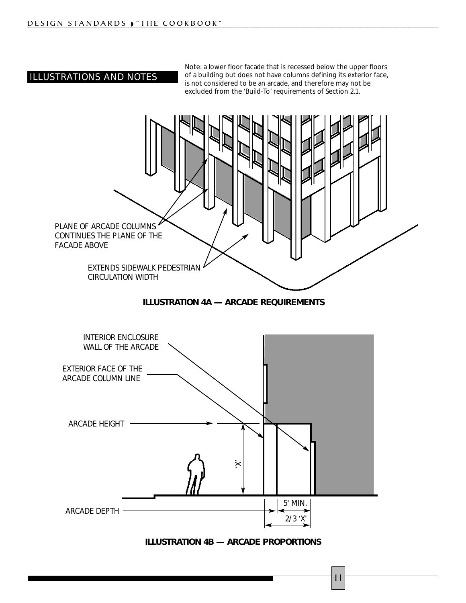### ILLUSTRATIONS AND NOTES

Note: a lower floor facade that is recessed below the upper floors of a building but does not have columns defining its exterior face, is not considered to be an arcade, and therefore may not be excluded from the 'Build-To' requirements of Section 2.1.



**ILLUSTRATION 4B — ARCADE PROPORTIONS**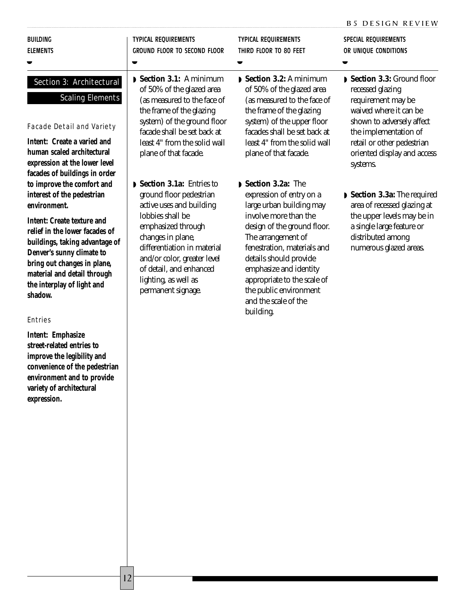#### BUILDING ELEMENTS

◗

## Section 3: Architectural

### Scaling Elements

Facade Detail and Variety

**Intent: Create a varied and human scaled architectural expression at the lower level facades of buildings in order to improve the comfort and interest of the pedestrian environment.**

**Intent: Create texture and relief in the lower facades of buildings, taking advantage of Denver's sunny climate to bring out changes in plane, material and detail through the interplay of light and shadow.**

#### Entries

**Intent: Emphasize street-related entries to improve the legibility and convenience of the pedestrian environment and to provide variety of architectural expression.**

◗ **Section 3.1:** A minimum of 50% of the glazed area (as measured to the face of the frame of the glazing system) of the ground floor facade shall be set back at least 4" from the solid wall plane of that facade.

GROUND FLOOR TO SECOND FLOOR

TYPICAL REQUIREMENTS

◗

◗ **Section 3.1a:** Entries to ground floor pedestrian active uses and building lobbies shall be emphasized through changes in plane, differentiation in material and/or color, greater level of detail, and enhanced lighting, as well as permanent signage.

TYPICAL REQUIREMENTS THIRD FLOOR TO 80 FEET

◗

- ◗ **Section 3.2:** A minimum of 50% of the glazed area (as measured to the face of the frame of the glazing system) of the upper floor facades shall be set back at least 4" from the solid wall plane of that facade.
- ◗ **Section 3.2a:** The expression of entry on a large urban building may involve more than the design of the ground floor. The arrangement of fenestration, materials and details should provide emphasize and identity appropriate to the scale of the public environment and the scale of the building.

SPECIAL REQUIREMENTS OR UNIQUE CONDITIONS

- ◗ **Section 3.3:** Ground floor recessed glazing requirement may be waived where it can be shown to adversely affect the implementation of retail or other pedestrian oriented display and access systems.
- ◗ **Section 3.3a:** The required area of recessed glazing at the upper levels may be in a single large feature or distributed among numerous glazed areas.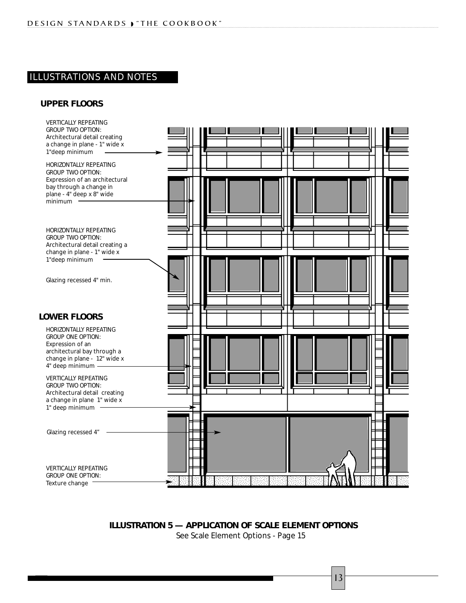#### ILLUSTRATIONS AND NOTES

#### **UPPER FLOORS**



**ILLUSTRATION 5 — APPLICATION OF SCALE ELEMENT OPTIONS** See Scale Element Options - Page 15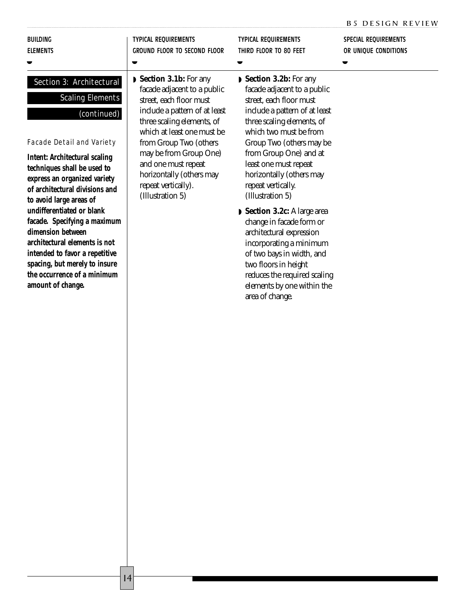#### BUILDING ELEMENTS

◗

#### Section 3: Architectural

#### Scaling Elements

#### (continued)

Facade Detail and Variety

**Intent: Architectural scaling techniques shall be used to express an organized variety of architectural divisions and to avoid large areas of undifferentiated or blank facade. Specifying a maximum dimension between architectural elements is not intended to favor a repetitive spacing, but merely to insure the occurrence of a minimum amount of change.**

◗ **Section 3.1b:** For any facade adjacent to a public street, each floor must include a pattern of at least three scaling elements, of which at least one must be from Group Two (others may be from Group One) and one must repeat horizontally (others may repeat vertically). (Illustration 5)

TYPICAL REQUIREMENTS

◗

GROUND FLOOR TO SECOND FLOOR

- TYPICAL REQUIREMENTS THIRD FLOOR TO 80 FEET ◗
- ◗ **Section 3.2b:** For any facade adjacent to a public street, each floor must include a pattern of at least three scaling elements, of which two must be from Group Two (others may be from Group One) and at least one must repeat horizontally (others may repeat vertically. (Illustration 5)
- ◗ **Section 3.2c:** A large area change in facade form or architectural expression incorporating a minimum of two bays in width, and two floors in height reduces the required scaling elements by one within the area of change.

SPECIAL REQUIREMENTS OR UNIQUE CONDITIONS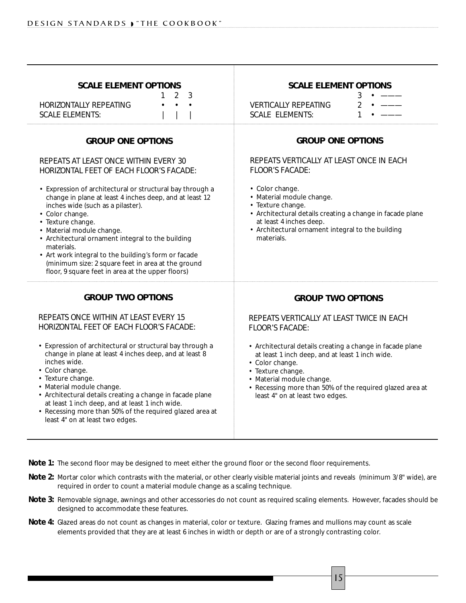| <b>SCALE ELEMENT OPTIONS</b><br>$\mathbf{2}^{\circ}$<br>3<br>1<br><b>HORIZONTALLY REPEATING</b><br><b>SCALE ELEMENTS:</b>                                                                                                                                                                                                                                                                                                                                                                                                                                                            | <b>SCALE ELEMENT OPTIONS</b><br>3<br><b>VERTICALLY REPEATING</b><br>$\overline{2}$<br><b>SCALE ELEMENTS:</b><br>1                                                                                                                                                                                                                                                                   |  |
|--------------------------------------------------------------------------------------------------------------------------------------------------------------------------------------------------------------------------------------------------------------------------------------------------------------------------------------------------------------------------------------------------------------------------------------------------------------------------------------------------------------------------------------------------------------------------------------|-------------------------------------------------------------------------------------------------------------------------------------------------------------------------------------------------------------------------------------------------------------------------------------------------------------------------------------------------------------------------------------|--|
| <b>GROUP ONE OPTIONS</b><br>REPEATS AT LEAST ONCE WITHIN EVERY 30<br>HORIZONTAL FEET OF EACH FLOOR'S FACADE:<br>• Expression of architectural or structural bay through a<br>change in plane at least 4 inches deep, and at least 12<br>inches wide (such as a pilaster).<br>• Color change.<br>• Texture change.<br>· Material module change.<br>• Architectural ornament integral to the building<br>materials.<br>• Art work integral to the building's form or facade<br>(minimum size: 2 square feet in area at the ground<br>floor, 9 square feet in area at the upper floors) | <b>GROUP ONE OPTIONS</b><br>REPEATS VERTICALLY AT LEAST ONCE IN EACH<br><b>FLOOR'S FACADE:</b><br>• Color change.<br>• Material module change.<br>• Texture change.<br>• Architectural details creating a change in facade plane<br>at least 4 inches deep.<br>• Architectural ornament integral to the building<br>materials.                                                      |  |
| <b>GROUP TWO OPTIONS</b><br>REPEATS ONCE WITHIN AT LEAST EVERY 15<br>HORIZONTAL FEET OF EACH FLOOR'S FACADE:<br>• Expression of architectural or structural bay through a<br>change in plane at least 4 inches deep, and at least 8<br>inches wide.<br>• Color change.<br>• Texture change.<br>· Material module change.<br>• Architectural details creating a change in facade plane<br>at least 1 inch deep, and at least 1 inch wide.<br>• Recessing more than 50% of the required glazed area at<br>least 4" on at least two edges.                                              | <b>GROUP TWO OPTIONS</b><br>REPEATS VERTICALLY AT LEAST TWICE IN EACH<br><b>FLOOR'S FACADE:</b><br>• Architectural details creating a change in facade plane<br>at least 1 inch deep, and at least 1 inch wide.<br>• Color change.<br>• Texture change.<br>· Material module change.<br>• Recessing more than 50% of the required glazed area at<br>least 4" on at least two edges. |  |

- **Note 1:** The second floor may be designed to meet either the ground floor or the second floor requirements.
- **Note 2:** Mortar color which contrasts with the material, or other clearly visible material joints and reveals (minimum 3/8" wide), are required in order to count a material module change as a scaling technique.
- **Note 3:** Removable signage, awnings and other accessories do not count as required scaling elements. However, facades should be designed to accommodate these features.

15

**Note 4:** Glazed areas do not count as changes in material, color or texture. Glazing frames and mullions may count as scale elements provided that they are at least 6 inches in width or depth or are of a strongly contrasting color.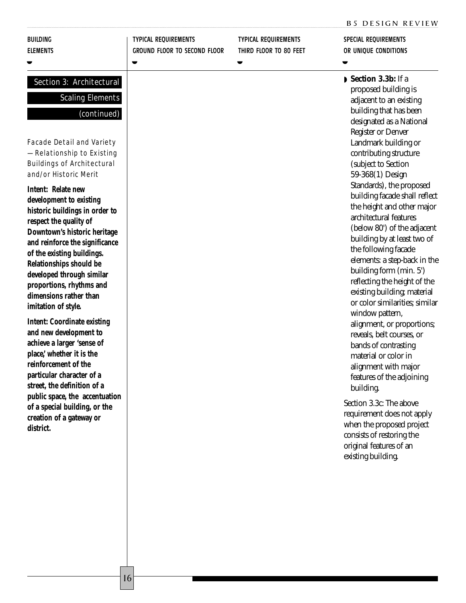|  |  | <b>B5 DESIGN REVIEW</b> |
|--|--|-------------------------|
|--|--|-------------------------|

#### BUILDING ELEMENTS

◗

### Section 3: Architectural

**Scaling Elements** 

#### (continued)

TYPICAL REQUIREMENTS

◗

Facade Detail and Variety — Relationship to Existing Buildings of Architectural and/or Historic Merit

**Intent: Relate new development to existing historic buildings in order to respect the quality of Downtown's historic heritage and reinforce the significance of the existing buildings. Relationships should be developed through similar proportions, rhythms and dimensions rather than imitation of style.** 

**Intent: Coordinate existing and new development to achieve a larger 'sense of place,' whether it is the reinforcement of the particular character of a street, the definition of a public space, the accentuation of a special building, or the creation of a gateway or district.**

GROUND FLOOR TO SECOND FLOOR TYPICAL REQUIREMENTS THIRD FLOOR TO 80 FEET

◗

SPECIAL REQUIREMENTS OR UNIQUE CONDITIONS B5 DESIGN REVIEW<br>SPECIAL REQUIREMENTS<br>OR UNIQUE CONDITIONS

◗ **Section 3.3b:** If a proposed building is adjacent to an existing building that has been designated as a National Register or Denver Landmark building or contributing structure (subject to Section 59-368(1) Design Standards), the proposed building facade shall reflect the height and other major architectural features (below 80') of the adjacent building by at least two of the following facade elements: a step-back in the building form (min. 5') reflecting the height of the existing building; material or color similarities; similar window pattern, alignment, or proportions; reveals, belt courses, or bands of contrasting material or color in alignment with major features of the adjoining building.

Section 3.3c: The above requirement does not apply when the proposed project consists of restoring the original features of an existing building.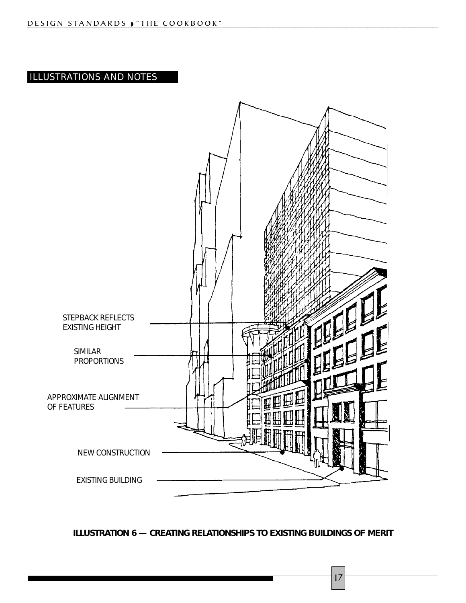## ILLUSTRATIONS AND NOTES



**ILLUSTRATION 6 — CREATING RELATIONSHIPS TO EXISTING BUILDINGS OF MERIT**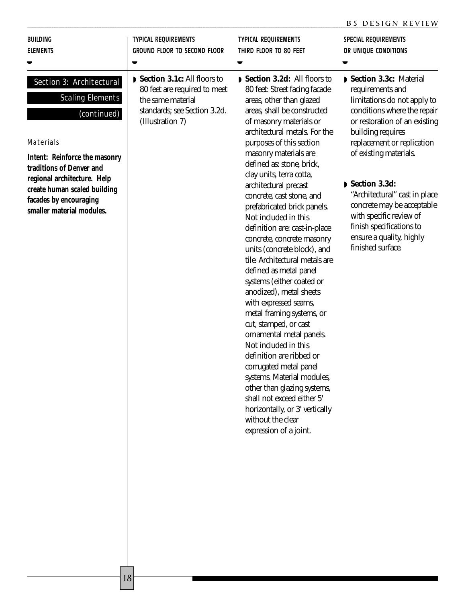|                                                                                                                                                                                                                                                                                  |                                                                                                                                      |                                                                                                                                                                                                                                                                                                                                                                                                                                                                                                                                                                                                                                                                                                                                                                     | <b>B5 DESIGN REVIEW</b>                                                                                                                                                                                                                                                                                                                                                                                        |
|----------------------------------------------------------------------------------------------------------------------------------------------------------------------------------------------------------------------------------------------------------------------------------|--------------------------------------------------------------------------------------------------------------------------------------|---------------------------------------------------------------------------------------------------------------------------------------------------------------------------------------------------------------------------------------------------------------------------------------------------------------------------------------------------------------------------------------------------------------------------------------------------------------------------------------------------------------------------------------------------------------------------------------------------------------------------------------------------------------------------------------------------------------------------------------------------------------------|----------------------------------------------------------------------------------------------------------------------------------------------------------------------------------------------------------------------------------------------------------------------------------------------------------------------------------------------------------------------------------------------------------------|
| <b>BUILDING</b><br><b>ELEMENTS</b>                                                                                                                                                                                                                                               | <b>TYPICAL REQUIREMENTS</b><br><b>GROUND FLOOR TO SECOND FLOOR</b><br>$\blacksquare$                                                 | <b>TYPICAL REQUIREMENTS</b><br>THIRD FLOOR TO 80 FEET<br>▼                                                                                                                                                                                                                                                                                                                                                                                                                                                                                                                                                                                                                                                                                                          | <b>SPECIAL REQUIREMENTS</b><br>OR UNIQUE CONDITIONS                                                                                                                                                                                                                                                                                                                                                            |
| Section 3: Architectural<br><b>Scaling Elements</b><br>(continued)<br><b>Materials</b><br><b>Intent: Reinforce the masonry</b><br>traditions of Denver and<br>regional architecture. Help<br>create human scaled building<br>facades by encouraging<br>smaller material modules. | Section 3.1c: All floors to<br>80 feet are required to meet<br>the same material<br>standards; see Section 3.2d.<br>(Illustration 7) | Section 3.2d: All floors to<br>80 feet: Street facing facade<br>areas, other than glazed<br>areas, shall be constructed<br>of masonry materials or<br>architectural metals. For the<br>purposes of this section<br>masonry materials are<br>defined as: stone, brick,<br>clay units, terra cotta,<br>architectural precast<br>concrete, cast stone, and<br>prefabricated brick panels.<br>Not included in this<br>definition are: cast-in-place<br>concrete, concrete masonry<br>units (concrete block), and<br>tile. Architectural metals are<br>defined as metal panel<br>systems (either coated or<br>anodized), metal sheets<br>with expressed seams,<br>metal framing systems, or<br>cut, stamped, or cast<br>ornamental metal panels.<br>Not included in this | Section 3.3c: Material<br>requirements and<br>limitations do not apply to<br>conditions where the repair<br>or restoration of an existing<br>building requires<br>replacement or replication<br>of existing materials.<br>Section 3.3d:<br>"Architectural" cast in place<br>concrete may be acceptable<br>with specific review of<br>finish specifications to<br>ensure a quality, highly<br>finished surface. |

definition are ribbed or corrugated metal panel systems. Material modules, other than glazing systems, shall not exceed either 5' horizontally, or 3' vertically

without the clear expression of a joint.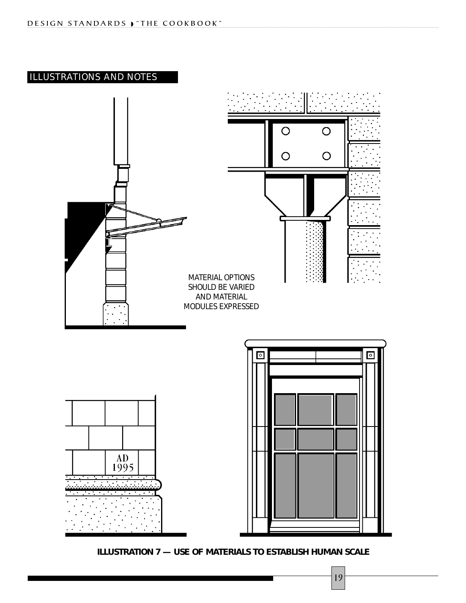## ILLUSTRATIONS AND NOTES



**ILLUSTRATION 7 — USE OF MATERIALS TO ESTABLISH HUMAN SCALE**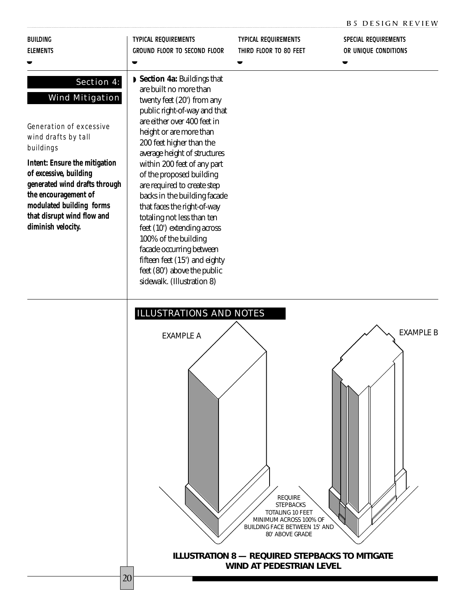|                                                                                                                                                                                                                                                                                                                       |                                                                                                                                                                                                                                                                                                                                                                                                                                                                                                                                                                                                                  |                                                            | <b>B5 DESIGN REVIEW</b>                      |
|-----------------------------------------------------------------------------------------------------------------------------------------------------------------------------------------------------------------------------------------------------------------------------------------------------------------------|------------------------------------------------------------------------------------------------------------------------------------------------------------------------------------------------------------------------------------------------------------------------------------------------------------------------------------------------------------------------------------------------------------------------------------------------------------------------------------------------------------------------------------------------------------------------------------------------------------------|------------------------------------------------------------|----------------------------------------------|
| <b>BUILDING</b><br><b>ELEMENTS</b>                                                                                                                                                                                                                                                                                    | <b>TYPICAL REQUIREMENTS</b><br><b>GROUND FLOOR TO SECOND FLOOR</b>                                                                                                                                                                                                                                                                                                                                                                                                                                                                                                                                               | <b>TYPICAL REQUIREMENTS</b><br>THIRD FLOOR TO 80 FEET<br>▼ | SPECIAL REQUIREMENTS<br>OR UNIQUE CONDITIONS |
| Section 4:<br><b>Wind Mitigation</b><br><b>Generation of excessive</b><br>wind drafts by tall<br>buildings<br><b>Intent: Ensure the mitigation</b><br>of excessive, building<br>generated wind drafts through<br>the encouragement of<br>modulated building forms<br>that disrupt wind flow and<br>diminish velocity. | Section 4a: Buildings that<br>are built no more than<br>twenty feet (20') from any<br>public right-of-way and that<br>are either over 400 feet in<br>height or are more than<br>200 feet higher than the<br>average height of structures<br>within 200 feet of any part<br>of the proposed building<br>are required to create step<br>backs in the building facade<br>that faces the right-of-way<br>totaling not less than ten<br>feet (10') extending across<br>100% of the building<br>facade occurring between<br>fifteen feet (15') and eighty<br>feet (80') above the public<br>sidewalk. (Illustration 8) |                                                            |                                              |
|                                                                                                                                                                                                                                                                                                                       | <b>ILLUSTRATIONS AND NOTES</b><br><b>EXAMPLE A</b>                                                                                                                                                                                                                                                                                                                                                                                                                                                                                                                                                               |                                                            | <b>EXAMPLE B</b>                             |

**ILLUSTRATION 8 — REQUIRED STEPBACKS TO MITIGATE WIND AT PEDESTRIAN LEVEL**

REQUIRE STEPBACKS TOTALING 10 FEET MINIMUM ACROSS 100% OF BUILDING FACE BETWEEN 15' AND 80' ABOVE GRADE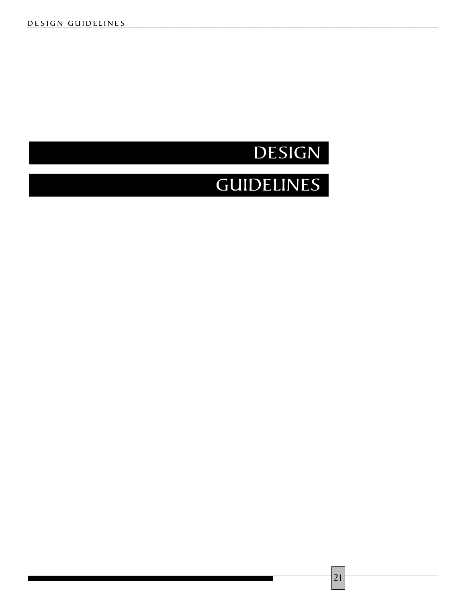## DESIGN

## **GUIDELINES**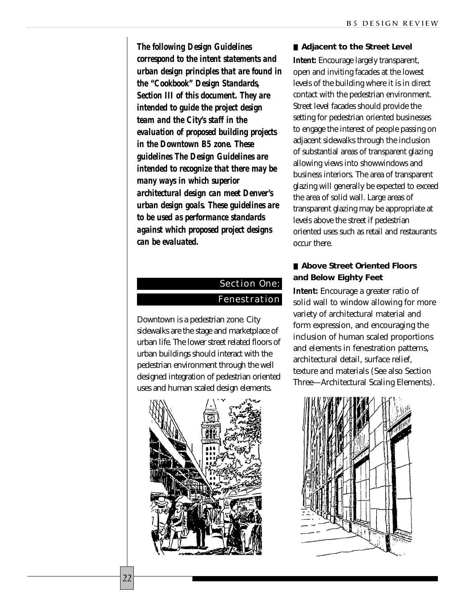*The following Design Guidelines correspond to the intent statements and urban design principles that are found in the "Cookbook" Design Standards, Section III of this document. They are intended to guide the project design team and the City's staff in the evaluation of proposed building projects in the Downtown B5 zone. These guidelines The Design Guidelines are intended to recognize that there may be many ways in which superior architectural design can meet Denver's urban design goals. These guidelines are to be used as performance standards against which proposed project designs can be evaluated.*

## Section One: **Fenestration**

Downtown is a pedestrian zone. City sidewalks are the stage and marketplace of urban life. The lower street related floors of urban buildings should interact with the pedestrian environment through the well designed integration of pedestrian oriented uses and human scaled design elements.



■ **Adjacent to the Street Level** 

**Intent:** Encourage largely transparent, open and inviting facades at the lowest levels of the building where it is in direct contact with the pedestrian environment. Street level facades should provide the setting for pedestrian oriented businesses to engage the interest of people passing on adjacent sidewalks through the inclusion of substantial areas of transparent glazing allowing views into showwindows and business interiors. The area of transparent glazing will generally be expected to exceed the area of solid wall. Large areas of transparent glazing may be appropriate at levels above the street if pedestrian oriented uses such as retail and restaurants occur there.

#### ■ **Above Street Oriented Floors and Below Eighty Feet**

**Intent:** Encourage a greater ratio of solid wall to window allowing for more variety of architectural material and form expression, and encouraging the inclusion of human scaled proportions and elements in fenestration patterns, architectural detail, surface relief, texture and materials (See also Section Three—Architectural Scaling Elements).

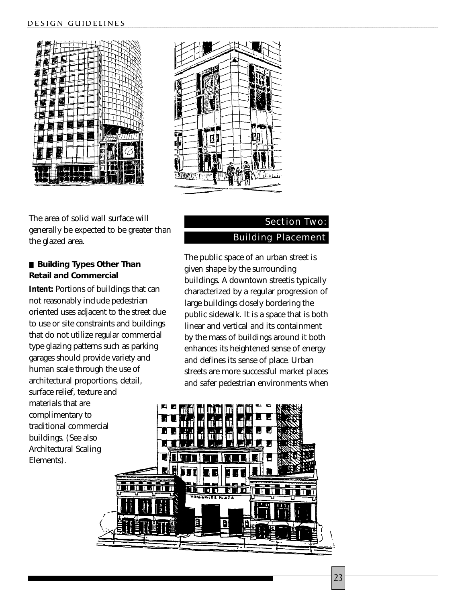



The area of solid wall surface will generally be expected to be greater than the glazed area.

### ■ **Building Types Other Than Retail and Commercial**

**Intent:** Portions of buildings that can not reasonably include pedestrian oriented uses adjacent to the street due to use or site constraints and buildings that do not utilize regular commercial type glazing patterns such as parking garages should provide variety and human scale through the use of architectural proportions, detail, surface relief, texture and materials that are complimentary to traditional commercial buildings. (See also Architectural Scaling Elements).

## Section Two: Building Placement

The public space of an urban street is given shape by the surrounding buildings. A downtown streetis typically characterized by a regular progression of large buildings closely bordering the public sidewalk. It is a space that is both linear and vertical and its containment by the mass of buildings around it both enhances its heightened sense of energy and defines its sense of place. Urban streets are more successful market places and safer pedestrian environments when

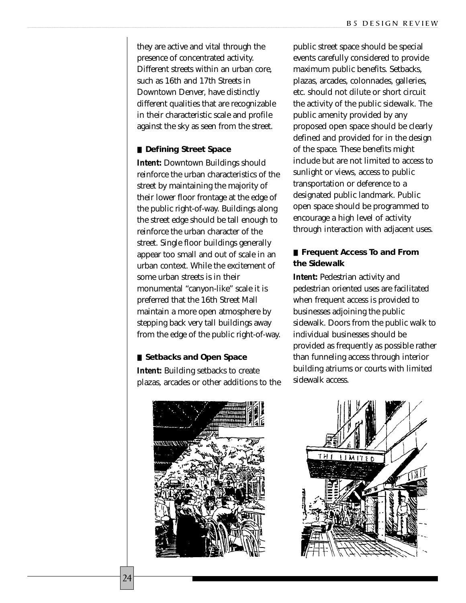they are active and vital through the presence of concentrated activity. Different streets within an urban core, such as 16th and 17th Streets in Downtown Denver, have distinctly different qualities that are recognizable in their characteristic scale and profile against the sky as seen from the street.

#### ■ **Defining Street Space**

**Intent:** Downtown Buildings should reinforce the urban characteristics of the street by maintaining the majority of their lower floor frontage at the edge of the public right-of-way. Buildings along the street edge should be tall enough to reinforce the urban character of the street. Single floor buildings generally appear too small and out of scale in an urban context. While the excitement of some urban streets is in their monumental "canyon-like" scale it is preferred that the 16th Street Mall maintain a more open atmosphere by stepping back very tall buildings away from the edge of the public right-of-way.

#### ■ **Setbacks and Open Space**

**Intent:** Building setbacks to create plazas, arcades or other additions to the



public street space should be special events carefully considered to provide maximum public benefits. Setbacks, plazas, arcades, colonnades, galleries, etc. should not dilute or short circuit the activity of the public sidewalk. The public amenity provided by any proposed open space should be clearly defined and provided for in the design of the space. These benefits might include but are not limited to access to sunlight or views, access to public transportation or deference to a designated public landmark. Public open space should be programmed to encourage a high level of activity through interaction with adjacent uses.

#### ■ **Frequent Access To and From the Sidewalk**

**Intent:** Pedestrian activity and pedestrian oriented uses are facilitated when frequent access is provided to businesses adjoining the public sidewalk. Doors from the public walk to individual businesses should be provided as frequently as possible rather than funneling access through interior building atriums or courts with limited sidewalk access.

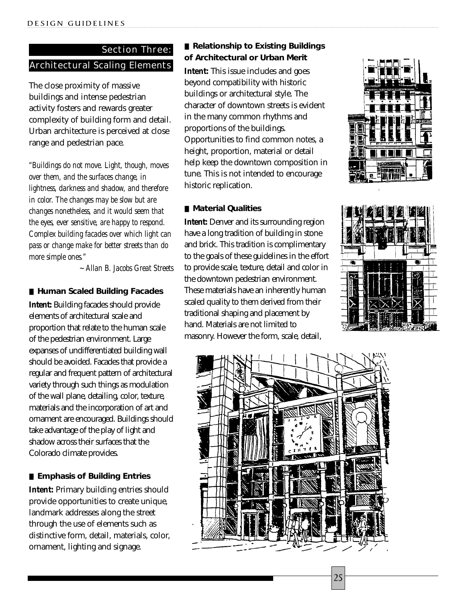## Section Three: Architectural Scaling Elements

The close proximity of massive buildings and intense pedestrian activity fosters and rewards greater complexity of building form and detail. Urban architecture is perceived at close range and pedestrian pace.

*"Buildings do not move. Light, though, moves over them, and the surfaces change, in lightness, darkness and shadow, and therefore in color. The changes may be slow but are changes nonetheless, and it would seem that the eyes, ever sensitive, are happy to respond. Complex building facades over which light can pass or change make for better streets than do more simple ones."*

*~ Allan B. Jacobs Great Streets*

#### ■ **Human Scaled Building Facades**

**Intent:** Building facades should provide elements of architectural scale and proportion that relate to the human scale of the pedestrian environment. Large expanses of undifferentiated building wall should be avoided. Facades that provide a regular and frequent pattern of architectural variety through such things as modulation of the wall plane, detailing, color, texture, materials and the incorporation of art and ornament are encouraged. Buildings should take advantage of the play of light and shadow across their surfaces that the Colorado climate provides.

#### ■ **Emphasis of Building Entries**

**Intent:** Primary building entries should provide opportunities to create unique, landmark addresses along the street through the use of elements such as distinctive form, detail, materials, color, ornament, lighting and signage.

### ■ **Relationship to Existing Buildings of Architectural or Urban Merit**

**Intent:** This issue includes and goes beyond compatibility with historic buildings or architectural style. The character of downtown streets is evident in the many common rhythms and proportions of the buildings. Opportunities to find common notes, a height, proportion, material or detail help keep the downtown composition in tune. This is not intended to encourage historic replication.

#### ■ **Material Qualities**

**Intent:** Denver and its surrounding region have a long tradition of building in stone and brick. This tradition is complimentary to the goals of these guidelines in the effort to provide scale, texture, detail and color in the downtown pedestrian environment. These materials have an inherently human scaled quality to them derived from their traditional shaping and placement by hand. Materials are not limited to masonry. However the form, scale, detail,





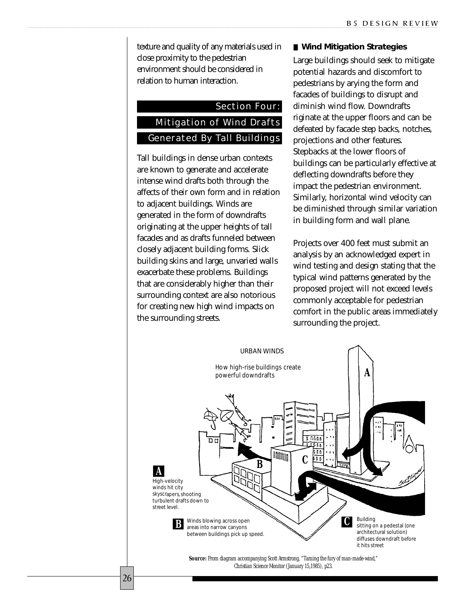texture and quality of any materials used in close proximity to the pedestrian environment should be considered in relation to human interaction.

## Section Four: Mitigation of Wind Drafts Generated By Tall Buildings

Tall buildings in dense urban contexts are known to generate and accelerate intense wind drafts both through the affects of their own form and in relation to adjacent buildings. Winds are generated in the form of downdrafts originating at the upper heights of tall facades and as drafts funneled between closely adjacent building forms. Slick building skins and large, unvaried walls exacerbate these problems. Buildings that are considerably higher than their surrounding context are also notorious for creating new high wind impacts on the surrounding streets.

#### ■ Wind Mitigation Strategies

Large buildings should seek to mitigate potential hazards and discomfort to pedestrians by arying the form and facades of buildings to disrupt and diminish wind flow. Downdrafts riginate at the upper floors and can be defeated by facade step backs, notches, projections and other features. Stepbacks at the lower floors of buildings can be particularly effective at deflecting downdrafts before they impact the pedestrian environment. Similarly, horizontal wind velocity can be diminished through similar variation in building form and wall plane.

Projects over 400 feet must submit an analysis by an acknowledged expert in wind testing and design stating that the typical wind patterns generated by the proposed project will not exceed levels commonly acceptable for pedestrian comfort in the public areas immediately surrounding the project.